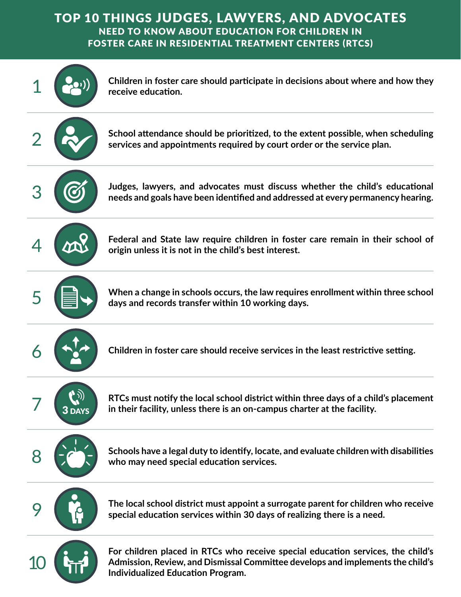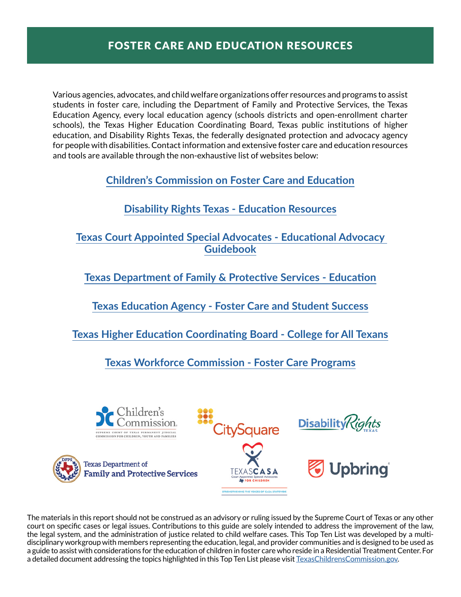Various agencies, advocates, and child welfare organizations offer resources and programs to assist students in foster care, including the Department of Family and Protective Services, the Texas Education Agency, every local education agency (schools districts and open-enrollment charter schools), the Texas Higher Education Coordinating Board, Texas public institutions of higher education, and Disability Rights Texas, the federally designated protection and advocacy agency for people with disabilities. Contact information and extensive foster care and education resources and tools are available through the non-exhaustive list of websites below:

**[Children's Commission on Foster Care and Education](http://texaschildrenscommission.gov/our-work/systems-improvement/foster-care-education/)**

# **[Disability Rights Texas - Education Resources](https://www.disabilityrightstx.org/en/category/education/)**

## **[Texas Court Appointed Special Advocates - Educational Advocacy](https://learn.texascasa.org/resource/educational-advocacy-resources) [Guidebook](https://learn.texascasa.org/resource/educational-advocacy-resources)**

**[Texas Department of Family & Protective Services - Education](https://www.dfps.state.tx.us/Child_Protection/State_Care/education.asp)**

**[Texas Education Agency - Foster Care and Student Success](https://tea.texas.gov/academics/special-student-populations/foster-care-and-student-success/foster-care-student-success)**

**[Texas Higher Education Coordinating Board - College for](http://www.collegeforalltexans.com/apps/financialaid/tofa2.cfm?ID=429) All Texans**

**[Texas Workforce Commission - Foster Care Programs](https://twc.texas.gov/partners/foster-care-programs)**



The materials in this report should not be construed as an advisory or ruling issued by the Supreme Court of Texas or any other court on specific cases or legal issues. Contributions to this guide are solely intended to address the improvement of the law, the legal system, and the administration of justice related to child welfare cases. This Top Ten List was developed by a multidisciplinary workgroup with members representing the education, legal, and provider communities and is designed to be used as a guide to assist with considerations for the education of children in foster care who reside in a Residential Treatment Center. For a detailed document addressing the topics highlighted in this Top Ten List please visit [TexasChildrensCommission.gov](http://TexasChildrensCommission.gov).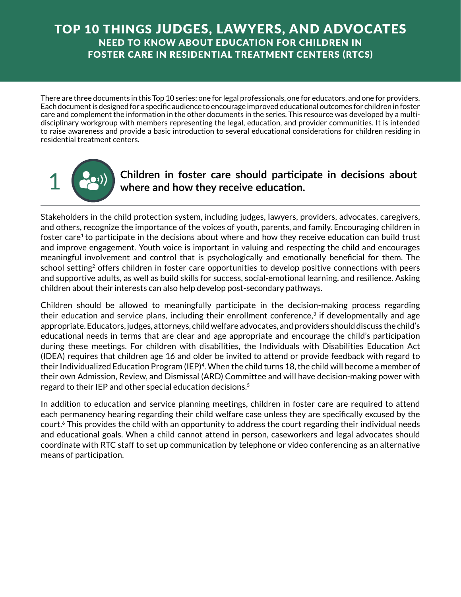There are three documents in this Top 10 series: one for legal professionals, one for educators, and one for providers. Each document is designed for a specific audience to encourage improved educational outcomes for children in foster care and complement the information in the other documents in the series. This resource was developed by a multidisciplinary workgroup with members representing the legal, education, and provider communities. It is intended to raise awareness and provide a basic introduction to several educational considerations for children residing in residential treatment centers.



## 1 **Children in foster care should participate in decisions about where and how they receive education.**

Stakeholders in the child protection system, including judges, lawyers, providers, advocates, caregivers, and others, recognize the importance of the voices of youth, parents, and family. Encouraging children in foster care<sup>1</sup> to participate in the decisions about where and how they receive education can build trust and improve engagement. Youth voice is important in valuing and respecting the child and encourages meaningful involvement and control that is psychologically and emotionally beneficial for them. The school setting<sup>2</sup> offers children in foster care opportunities to develop positive connections with peers and supportive adults, as well as build skills for success, social-emotional learning, and resilience. Asking children about their interests can also help develop post-secondary pathways.

Children should be allowed to meaningfully participate in the decision-making process regarding their education and service plans, including their enrollment conference, $3$  if developmentally and age appropriate. Educators, judges, attorneys, child welfare advocates, and providers should discuss the child's educational needs in terms that are clear and age appropriate and encourage the child's participation during these meetings. For children with disabilities, the Individuals with Disabilities Education Act (IDEA) requires that children age 16 and older be invited to attend or provide feedback with regard to their Individualized Education Program (IEP)4. When the child turns 18, the child will become a member of their own Admission, Review, and Dismissal (ARD) Committee and will have decision-making power with regard to their IEP and other special education decisions.5

In addition to education and service planning meetings, children in foster care are required to attend each permanency hearing regarding their child welfare case unless they are specifically excused by the court.6 This provides the child with an opportunity to address the court regarding their individual needs and educational goals. When a child cannot attend in person, caseworkers and legal advocates should coordinate with RTC staff to set up communication by telephone or video conferencing as an alternative means of participation.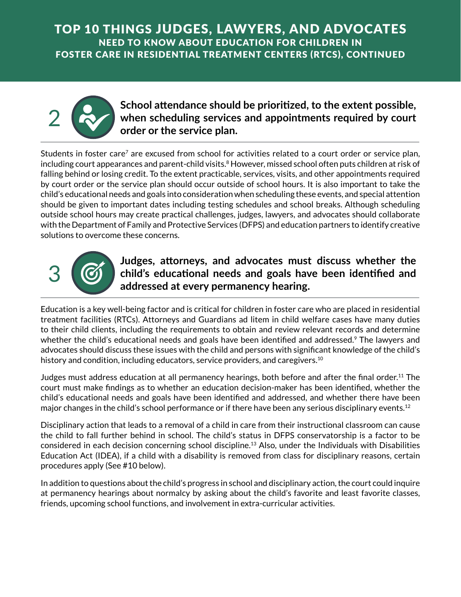

## School attendance should be prioritized, to the extent possible,<br>when scheduling services and appointments required by court **when scheduling services and appointments required by court order or the service plan.**

Students in foster care<sup>7</sup> are excused from school for activities related to a court order or service plan, including court appearances and parent-child visits.<sup>8</sup> However, missed school often puts children at risk of falling behind or losing credit. To the extent practicable, services, visits, and other appointments required by court order or the service plan should occur outside of school hours. It is also important to take the child's educational needs and goals into consideration when scheduling these events, and special attention should be given to important dates including testing schedules and school breaks. Although scheduling outside school hours may create practical challenges, judges, lawyers, and advocates should collaborate with the Department of Family and Protective Services (DFPS) and education partners to identify creative solutions to overcome these concerns.



## **3** Judges, attorneys, and advocates must discuss whether the<br>child's educational needs and goals have been identified and **child's educational needs and goals have been identified and addressed at every permanency hearing.**

Education is a key well-being factor and is critical for children in foster care who are placed in residential treatment facilities (RTCs). Attorneys and Guardians ad litem in child welfare cases have many duties to their child clients, including the requirements to obtain and review relevant records and determine whether the child's educational needs and goals have been identified and addressed.<sup>9</sup> The lawyers and advocates should discuss these issues with the child and persons with significant knowledge of the child's history and condition, including educators, service providers, and caregivers.<sup>10</sup>

Judges must address education at all permanency hearings, both before and after the final order.11 The court must make findings as to whether an education decision-maker has been identified, whether the child's educational needs and goals have been identified and addressed, and whether there have been major changes in the child's school performance or if there have been any serious disciplinary events.<sup>12</sup>

Disciplinary action that leads to a removal of a child in care from their instructional classroom can cause the child to fall further behind in school. The child's status in DFPS conservatorship is a factor to be considered in each decision concerning school discipline.13 Also, under the Individuals with Disabilities Education Act (IDEA), if a child with a disability is removed from class for disciplinary reasons, certain procedures apply (See #10 below).

In addition to questions about the child's progress in school and disciplinary action, the court could inquire at permanency hearings about normalcy by asking about the child's favorite and least favorite classes, friends, upcoming school functions, and involvement in extra-curricular activities.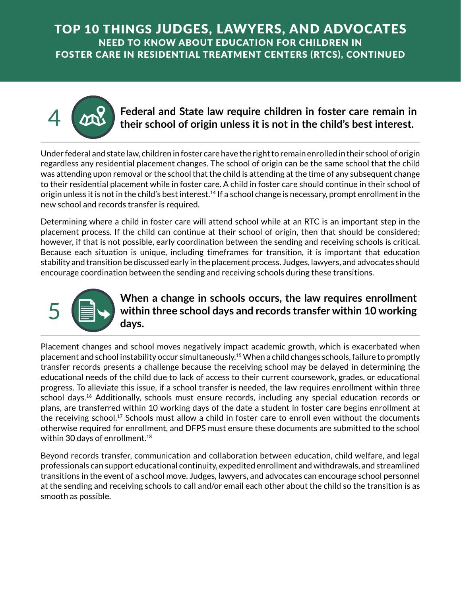

# Federal and State law require children in foster care remain in<br>their school of origin unless it is not in the child's best interest. 4 **Federal and State law require children in foster care remain in their school of origin unless it is not in the child's best interest.**

regardless any residential placement changes. The school of origin can be the same school that the child was attending upon removal or the school that the child is attending at the time of any subsequent change to their residential placement while in foster care. A child in foster care should continue in their school of origin unless it is not in the child's best interest.<sup>14</sup> If a school change is necessary, prompt enrollment in the new school and records transfer is required.

Determining where a child in foster care will attend school while at an RTC is an important step in the placement process. If the child can continue at their school of origin, then that should be considered; however, if that is not possible, early coordination between the sending and receiving schools is critical. Because each situation is unique, including timeframes for transition, it is important that education stability and transition be discussed early in the placement process. Judges, lawyers, and advocates should encourage coordination between the sending and receiving schools during these transitions.



# Fracement changes and school moves negatively impact academic growth, which is exacerbated when **5 a when a change in schools occurs, the law requires enrollment<br>within three school days and records transfer within 10 working within three school days and records transfer within 10 working days.**

placement and school instability occur simultaneously.15 When a child changes schools, failure to promptly transfer records presents a challenge because the receiving school may be delayed in determining the educational needs of the child due to lack of access to their current coursework, grades, or educational progress. To alleviate this issue, if a school transfer is needed, the law requires enrollment within three school days.16 Additionally, schools must ensure records, including any special education records or plans, are transferred within 10 working days of the date a student in foster care begins enrollment at the receiving school.<sup>17</sup> Schools must allow a child in foster care to enroll even without the documents otherwise required for enrollment, and DFPS must ensure these documents are submitted to the school within 30 days of enrollment.18

Beyond records transfer, communication and collaboration between education, child welfare, and legal professionals can support educational continuity, expedited enrollment and withdrawals, and streamlined transitions in the event of a school move. Judges, lawyers, and advocates can encourage school personnel at the sending and receiving schools to call and/or email each other about the child so the transition is as smooth as possible.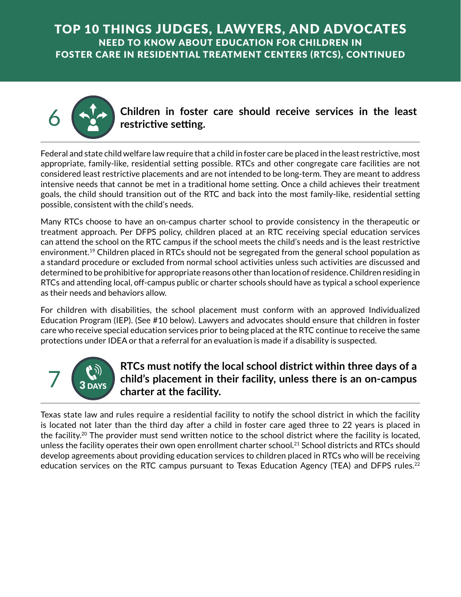

**6 Children in foster care should receive services in the least restrictive setting.**<br>
Federal and state child welfare law require that a child in foster care be placed in the least restrictive, most **restrictive setting.**

appropriate, family-like, residential setting possible. RTCs and other congregate care facilities are not considered least restrictive placements and are not intended to be long-term. They are meant to address intensive needs that cannot be met in a traditional home setting. Once a child achieves their treatment goals, the child should transition out of the RTC and back into the most family-like, residential setting possible, consistent with the child's needs.

Many RTCs choose to have an on-campus charter school to provide consistency in the therapeutic or treatment approach. Per DFPS policy, children placed at an RTC receiving special education services can attend the school on the RTC campus if the school meets the child's needs and is the least restrictive environment.<sup>19</sup> Children placed in RTCs should not be segregated from the general school population as a standard procedure or excluded from normal school activities unless such activities are discussed and determined to be prohibitive for appropriate reasons other than location of residence. Children residing in RTCs and attending local, off-campus public or charter schools should have as typical a school experience as their needs and behaviors allow.

For children with disabilities, the school placement must conform with an approved Individualized Education Program (IEP). (See #10 below). Lawyers and advocates should ensure that children in foster care who receive special education services prior to being placed at the RTC continue to receive the same protections under IDEA or that a referral for an evaluation is made if a disability is suspected.



# **RTCs must notify the local school district within three days of a child's placement in their facility, unless there is an on-campus charter at the facility.**

Texas state law and rules require a residential facility to notify the school district in which the facility is located not later than the third day after a child in foster care aged three to 22 years is placed in the facility.<sup>20</sup> The provider must send written notice to the school district where the facility is located, unless the facility operates their own open enrollment charter school.<sup>21</sup> School districts and RTCs should develop agreements about providing education services to children placed in RTCs who will be receiving education services on the RTC campus pursuant to Texas Education Agency (TEA) and DFPS rules.<sup>22</sup>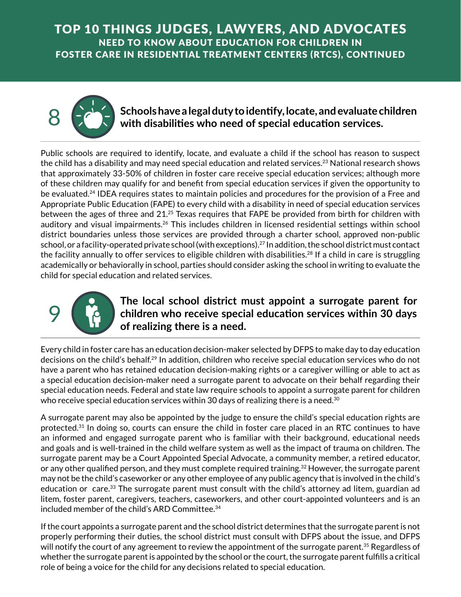

## 8 **Schools have a legal dutyto identify, locate, and evaluate children with disabilities who need of special education services.**

Public schools are required to identify, locate, and evaluate a child if the school has reason to suspect the child has a disability and may need special education and related services.<sup>23</sup> National research shows that approximately 33-50% of children in foster care receive special education services; although more of these children may qualify for and benefit from special education services if given the opportunity to be evaluated.<sup>24</sup> IDEA requires states to maintain policies and procedures for the provision of a Free and Appropriate Public Education (FAPE) to every child with a disability in need of special education services between the ages of three and 21.<sup>25</sup> Texas requires that FAPE be provided from birth for children with auditory and visual impairments.26 This includes children in licensed residential settings within school district boundaries unless those services are provided through a charter school, approved non-public school, or a facility-operated private school (with exceptions).<sup>27</sup> In addition, the school district must contact the facility annually to offer services to eligible children with disabilities.<sup>28</sup> If a child in care is struggling academically or behaviorally in school, parties should consider asking the school in writing to evaluate the child for special education and related services.



# **The local school district must appoint a surrogate parent for children who receive special education services within 30 days of realizing there is a need.**

Every child in foster care has an education decision-maker selected by DFPS to make day to day education decisions on the child's behalf.<sup>29</sup> In addition, children who receive special education services who do not have a parent who has retained education decision-making rights or a caregiver willing or able to act as a special education decision-maker need a surrogate parent to advocate on their behalf regarding their special education needs. Federal and state law require schools to appoint a surrogate parent for children who receive special education services within 30 days of realizing there is a need.<sup>30</sup>

A surrogate parent may also be appointed by the judge to ensure the child's special education rights are protected.<sup>31</sup> In doing so, courts can ensure the child in foster care placed in an RTC continues to have an informed and engaged surrogate parent who is familiar with their background, educational needs and goals and is well-trained in the child welfare system as well as the impact of trauma on children. The surrogate parent may be a Court Appointed Special Advocate, a community member, a retired educator, or any other qualified person, and they must complete required training.<sup>32</sup> However, the surrogate parent may not be the child's caseworker or any other employee of any public agency that is involved in the child's education or care.<sup>33</sup> The surrogate parent must consult with the child's attorney ad litem, guardian ad litem, foster parent, caregivers, teachers, caseworkers, and other court-appointed volunteers and is an included member of the child's ARD Committee.<sup>34</sup>

If the court appoints a surrogate parent and the school district determines that the surrogate parent is not properly performing their duties, the school district must consult with DFPS about the issue, and DFPS will notify the court of any agreement to review the appointment of the surrogate parent.<sup>35</sup> Regardless of whether the surrogate parent is appointed by the school or the court, the surrogate parent fulfills a critical role of being a voice for the child for any decisions related to special education.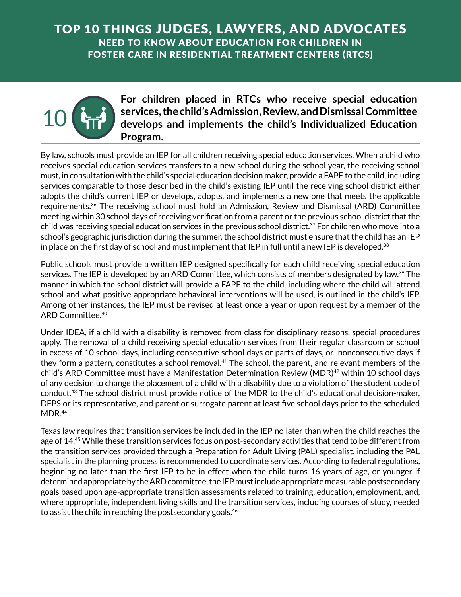

## **For children placed in RTCs who receive special education services, the child's Admission, Review, and Dismissal Committee develops and implements the child's Individualized Education Program.**

By law, schools must provide an IEP for all children receiving special education services. When a child who receives special education services transfers to a new school during the school year, the receiving school must, in consultation with the child's special education decision maker, provide a FAPE to the child, including services comparable to those described in the child's existing IEP until the receiving school district either adopts the child's current IEP or develops, adopts, and implements a new one that meets the applicable requirements.36 The receiving school must hold an Admission, Review and Dismissal (ARD) Committee meeting within 30 school days of receiving verification from a parent or the previous school district that the child was receiving special education services in the previous school district.37 For children who move into a school's geographic jurisdiction during the summer, the school district must ensure that the child has an IEP in place on the first day of school and must implement that IEP in full until a new IEP is developed. $38$ 

Public schools must provide a written IEP designed specifically for each child receiving special education services. The IEP is developed by an ARD Committee, which consists of members designated by law.<sup>39</sup> The manner in which the school district will provide a FAPE to the child, including where the child will attend school and what positive appropriate behavioral interventions will be used, is outlined in the child's IEP. Among other instances, the IEP must be revised at least once a year or upon request by a member of the ARD Committee.40

Under IDEA, if a child with a disability is removed from class for disciplinary reasons, special procedures apply. The removal of a child receiving special education services from their regular classroom or school in excess of 10 school days, including consecutive school days or parts of days, or nonconsecutive days if they form a pattern, constitutes a school removal.<sup>41</sup> The school, the parent, and relevant members of the child's ARD Committee must have a Manifestation Determination Review (MDR)<sup>42</sup> within 10 school days of any decision to change the placement of a child with a disability due to a violation of the student code of conduct.43 The school district must provide notice of the MDR to the child's educational decision-maker, DFPS or its representative, and parent or surrogate parent at least five school days prior to the scheduled MDR.<sup>44</sup>

Texas law requires that transition services be included in the IEP no later than when the child reaches the age of 14.<sup>45</sup> While these transition services focus on post-secondary activities that tend to be different from the transition services provided through a Preparation for Adult Living (PAL) specialist, including the PAL specialist in the planning process is recommended to coordinate services. According to federal regulations, beginning no later than the first IEP to be in effect when the child turns 16 years of age, or younger if determined appropriate by the ARD committee, the IEP must include appropriate measurable postsecondary goals based upon age-appropriate transition assessments related to training, education, employment, and, where appropriate, independent living skills and the transition services, including courses of study, needed to assist the child in reaching the postsecondary goals.<sup>46</sup>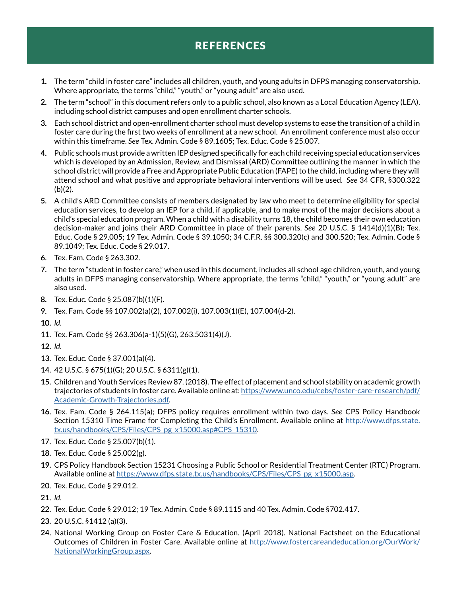# REFERENCES

- 1. 1. The term "child in foster care" includes all children, youth, and young adults in DFPS managing conservatorship. Where appropriate, the terms "child," "youth," or "young adult" are also used.
- 2. 2. The term "school" in this document refers only to a public school, also known as a Local Education Agency (LEA), including school district campuses and open enrollment charter schools.
- 3. 3. Each school district and open-enrollment charter school must develop systems to ease the transition of a child in foster care during the first two weeks of enrollment at a new school. An enrollment conference must also occur within this timeframe. *See* Tex. Admin. Code § 89.1605; Tex. Educ. Code § 25.007.
- 4. 4. Public schools must provide a written IEP designed specifically for each child receiving special education services which is developed by an Admission, Review, and Dismissal (ARD) Committee outlining the manner in which the school district will provide a Free and Appropriate Public Education (FAPE) to the child, including where they will attend school and what positive and appropriate behavioral interventions will be used. *See* 34 CFR, §300.322  $(b)(2)$ .
- 5. 5. A child's ARD Committee consists of members designated by law who meet to determine eligibility for special education services, to develop an IEP for a child, if applicable, and to make most of the major decisions about a child's special education program. When a child with a disability turns 18, the child becomes their own education decision-maker and joins their ARD Committee in place of their parents. *See* 20 U.S.C. § 1414(d)(1)(B); Tex. Educ. Code § 29.005; 19 Tex. Admin. Code § 39.1050; 34 C.F.R. §§ 300.320(c) and 300.520; Tex. Admin. Code § 89.1049; Tex. Educ. Code § 29.017.
- 6. 6. Tex. Fam. Code § 263.302.
- 7. 7. The term "student in foster care," when used in this document, includes all school age children, youth, and young adults in DFPS managing conservatorship. Where appropriate, the terms "child," "youth," or "young adult" are also used.
- 8. 8. Tex. Educ. Code § 25.087(b)(1)(F).
- 9. 9. Tex. Fam. Code §§ 107.002(a)(2), 107.002(i), 107.003(1)(E), 107.004(d-2).
- 10. 10. *Id.*
- 11. 11. Tex. Fam. Code §§ 263.306(a-1)(5)(G), 263.5031(4)(J).
- 12. 12. *Id.*
- 13. 13. Tex. Educ. Code § 37.001(a)(4).
- 14. 14. 42 U.S.C. § 675(1)(G); 20 U.S.C. § 6311(g)(1).
- 15. 15. Children and Youth Services Review 87. (2018). The effect of placement and school stability on academic growth trajectories of students in foster care. Available online at: [https://www.unco.edu/cebs/foster-care-research/pdf/](https://www.unco.edu/cebs/foster-care-research/pdf/Academic-Growth-Trajectories.pdf) [Academic-Growth-Trajectories.pdf](https://www.unco.edu/cebs/foster-care-research/pdf/Academic-Growth-Trajectories.pdf).
- 16. 16. Tex. Fam. Code § 264.115(a); DFPS policy requires enrollment within two days. *See* CPS Policy Handbook Section 15310 Time Frame for Completing the Child's Enrollment. Available online at [http://www.dfps.state.](http://www.dfps.state.tx.us/handbooks/CPS/Files/CPS_pg_x15000.asp#CPS_15310) [tx.us/handbooks/CPS/Files/CPS\\_pg\\_x15000.asp#CPS\\_15310](http://www.dfps.state.tx.us/handbooks/CPS/Files/CPS_pg_x15000.asp#CPS_15310).
- 17. 17. Tex. Educ. Code § 25.007(b)(1).
- 18. 18. Tex. Educ. Code § 25.002(g).
- 19. 19. CPS Policy Handbook Section 15231 Choosing a Public School or Residential Treatment Center (RTC) Program. Available online at [https://www.dfps.state.tx.us/handbooks/CPS/Files/CPS\\_pg\\_x15000.asp.](https://www.dfps.state.tx.us/handbooks/CPS/Files/CPS_pg_x15000.asp)
- 20. 20. Tex. Educ. Code § 29.012.
- 21. 21. *Id.*
- 22. 22. Tex. Educ. Code § 29.012; 19 Tex. Admin. Code § 89.1115 and 40 Tex. Admin. Code §702.417.
- 23. 23. 20 U.S.C. §1412 (a)(3).
- 24. 24. National Working Group on Foster Care & Education. (April 2018). National Factsheet on the Educational Outcomes of Children in Foster Care. Available online at [http://www.fostercareandeducation.org/OurWork/](http://www.fostercareandeducation.org/OurWork/NationalWorkingGroup.aspx) [NationalWorkingGroup.aspx.](http://www.fostercareandeducation.org/OurWork/NationalWorkingGroup.aspx)